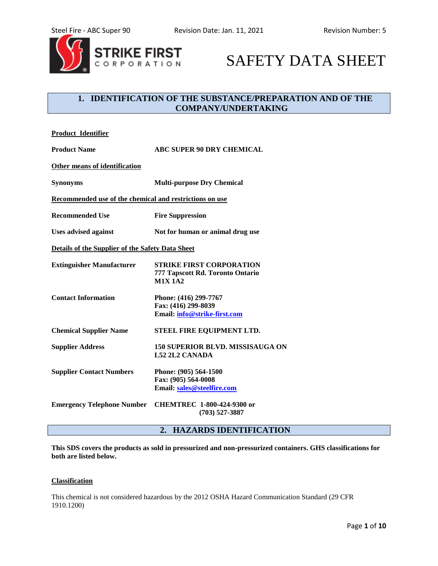

# SAFETY DATA SHEET

### **1. IDENTIFICATION OF THE SUBSTANCE/PREPARATION AND OF THE COMPANY/UNDERTAKING**

| <b>Product Identifier</b>                               |                                                                                      |
|---------------------------------------------------------|--------------------------------------------------------------------------------------|
| <b>Product Name</b>                                     | <b>ABC SUPER 90 DRY CHEMICAL</b>                                                     |
| <b>Other means of identification</b>                    |                                                                                      |
| <b>Synonyms</b>                                         | <b>Multi-purpose Dry Chemical</b>                                                    |
| Recommended use of the chemical and restrictions on use |                                                                                      |
| <b>Recommended Use</b>                                  | <b>Fire Suppression</b>                                                              |
| <b>Uses advised against</b>                             | Not for human or animal drug use                                                     |
| Details of the Supplier of the Safety Data Sheet        |                                                                                      |
| <b>Extinguisher Manufacturer</b>                        | <b>STRIKE FIRST CORPORATION</b><br>777 Tapscott Rd. Toronto Ontario<br><b>M1X1A2</b> |
| <b>Contact Information</b>                              | Phone: (416) 299-7767<br>Fax: (416) 299-8039<br>Email: info@strike-first.com         |
| <b>Chemical Supplier Name</b>                           | STEEL FIRE EQUIPMENT LTD.                                                            |
| <b>Supplier Address</b>                                 | <b>150 SUPERIOR BLVD. MISSISAUGA ON</b><br><b>L52 2L2 CANADA</b>                     |
| <b>Supplier Contact Numbers</b>                         | Phone: (905) 564-1500<br>Fax: (905) 564-0008<br>Email: sales@steelfire.com           |
|                                                         | Emergency Telephone Number CHEMTREC 1-800-424-9300 or<br>$(703)$ 527-3887            |

### **2. HAZARDS IDENTIFICATION**

**This SDS covers the products as sold in pressurized and non-pressurized containers. GHS classifications for both are listed below.**

### **Classification**

This chemical is not considered hazardous by the 2012 OSHA Hazard Communication Standard (29 CFR 1910.1200)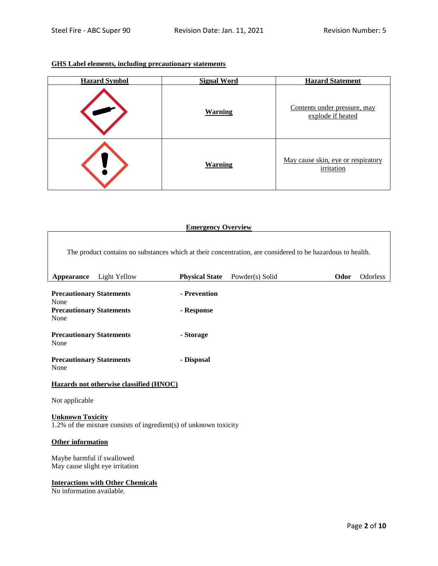### **GHS Label elements, including precautionary statements**

| <b>Hazard Symbol</b> | <b>Signal Word</b> | <b>Hazard Statement</b>                           |
|----------------------|--------------------|---------------------------------------------------|
|                      | <b>Warning</b>     | Contents under pressure, may<br>explode if heated |
|                      | <b>Warning</b>     | May cause skin, eye or respiratory<br>irritation  |

### **Emergency Overview**

The product contains no substances which at their concentration, are considered to be hazardous to health.

| Appearance                              | <b>Light Yellow</b>                                               | <b>Physical State</b> | Powder(s) Solid | Odor | <b>Odorless</b> |
|-----------------------------------------|-------------------------------------------------------------------|-----------------------|-----------------|------|-----------------|
| <b>Precautionary Statements</b><br>None |                                                                   | - Prevention          |                 |      |                 |
| <b>Precautionary Statements</b><br>None |                                                                   | - Response            |                 |      |                 |
| <b>Precautionary Statements</b><br>None |                                                                   | - Storage             |                 |      |                 |
| <b>Precautionary Statements</b><br>None |                                                                   | - Disposal            |                 |      |                 |
|                                         | Hazards not otherwise classified (HNOC)                           |                       |                 |      |                 |
| Not applicable                          |                                                                   |                       |                 |      |                 |
| <b>Unknown Toxicity</b>                 | 1.2% of the mixture consists of ingredient(s) of unknown toxicity |                       |                 |      |                 |
| <b>Other information</b>                |                                                                   |                       |                 |      |                 |

Maybe harmful if swallowed May cause slight eye irritation

### **Interactions with Other Chemicals**

No information available.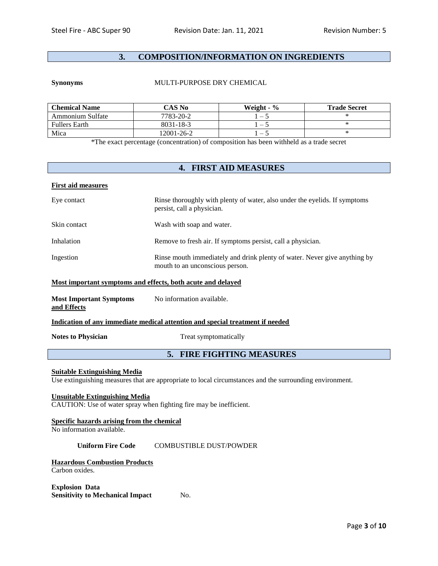### **3. COMPOSITION/INFORMATION ON INGREDIENTS**

### **Synonyms** MULTI-PURPOSE DRY CHEMICAL

| <b>Chemical Name</b>    | CAS No     | Weight - $\%$            | <b>Trade Secret</b> |
|-------------------------|------------|--------------------------|---------------------|
| <b>Ammonium Sulfate</b> | 7783-20-2  | $\overline{\phantom{m}}$ |                     |
| <b>Fullers Earth</b>    | 8031-18-3  | $\equiv$                 |                     |
| Mica                    | 12001-26-2 | . —                      |                     |

\*The exact percentage (concentration) of composition has been withheld as a trade secret

### **4. FIRST AID MEASURES**

### **First aid measures**

| Eye contact  | Rinse thoroughly with plenty of water, also under the eyelids. If symptoms<br>persist, call a physician.     |
|--------------|--------------------------------------------------------------------------------------------------------------|
| Skin contact | Wash with soap and water.                                                                                    |
| Inhalation   | Remove to fresh air. If symptoms persist, call a physician.                                                  |
| Ingestion    | Rinse mouth immediately and drink plenty of water. Never give anything by<br>mouth to an unconscious person. |

#### **Most important symptoms and effects, both acute and delayed**

| <b>Most Important Symptoms</b> | No information available. |
|--------------------------------|---------------------------|
| and Effects                    |                           |

#### **Indication of any immediate medical attention and special treatment if needed**

**Notes to Physician** Treat symptomatically

### **5. FIRE FIGHTING MEASURES**

### **Suitable Extinguishing Media**

Use extinguishing measures that are appropriate to local circumstances and the surrounding environment.

### **Unsuitable Extinguishing Media**

CAUTION: Use of water spray when fighting fire may be inefficient.

### **Specific hazards arising from the chemical**

No information available.

**Uniform Fire Code** COMBUSTIBLE DUST/POWDER

#### **Hazardous Combustion Products** Carbon oxides.

**Explosion Data Sensitivity to Mechanical Impact** No.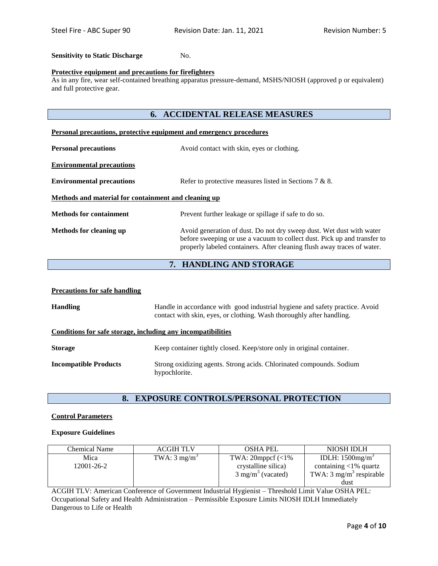### **Sensitivity to Static Discharge** No.

### **Protective equipment and precautions for firefighters**

As in any fire, wear self-contained breathing apparatus pressure-demand, MSHS/NIOSH (approved p or equivalent) and full protective gear.

### **6. ACCIDENTAL RELEASE MEASURES**

| Personal precautions, protective equipment and emergency procedures |                                                                                                                                                                                                                             |  |
|---------------------------------------------------------------------|-----------------------------------------------------------------------------------------------------------------------------------------------------------------------------------------------------------------------------|--|
| <b>Personal precautions</b>                                         | Avoid contact with skin, eyes or clothing.                                                                                                                                                                                  |  |
| <b>Environmental precautions</b>                                    |                                                                                                                                                                                                                             |  |
| <b>Environmental precautions</b>                                    | Refer to protective measures listed in Sections 7 & 8.                                                                                                                                                                      |  |
| Methods and material for containment and cleaning up                |                                                                                                                                                                                                                             |  |
| <b>Methods for containment</b>                                      | Prevent further leakage or spillage if safe to do so.                                                                                                                                                                       |  |
| Methods for cleaning up                                             | Avoid generation of dust. Do not dry sweep dust. Wet dust with water<br>before sweeping or use a vacuum to collect dust. Pick up and transfer to<br>properly labeled containers. After cleaning flush away traces of water. |  |

### **7. HANDLING AND STORAGE**

#### **Precautions for safe handling**

| <b>Handling</b>                                              | Handle in accordance with good industrial hygiene and safety practice. Avoid<br>contact with skin, eyes, or clothing. Wash thoroughly after handling. |
|--------------------------------------------------------------|-------------------------------------------------------------------------------------------------------------------------------------------------------|
| Conditions for safe storage, including any incompatibilities |                                                                                                                                                       |
| <b>Storage</b>                                               | Keep container tightly closed. Keep/store only in original container.                                                                                 |
| <b>Incompatible Products</b>                                 | Strong oxidizing agents. Strong acids. Chlorinated compounds. Sodium<br>hypochlorite.                                                                 |

### **8. EXPOSURE CONTROLS/PERSONAL PROTECTION**

### **Control Parameters**

### **Exposure Guidelines**

| <b>Chemical Name</b> | <b>ACGIH TLV</b>        | <b>OSHA PEL</b>              | NIOSH IDLH                         |
|----------------------|-------------------------|------------------------------|------------------------------------|
| Mica                 | TWA: $3 \text{ mg/m}^3$ | TWA: $20 \text{mppcf}$ (<1%) | IDLH: $1500$ mg/m <sup>3</sup>     |
| 12001-26-2           |                         | crystalline silica)          | containing $\langle 1\%$ quartz    |
|                      |                         | $3 \text{ mg/m}^3$ (vacated) | TWA: $3 \text{ mg/m}^3$ respirable |
|                      |                         |                              | dust                               |

ACGIH TLV: American Conference of Government Industrial Hygienist – Threshold Limit Value OSHA PEL: Occupational Safety and Health Administration – Permissible Exposure Limits NIOSH IDLH Immediately Dangerous to Life or Health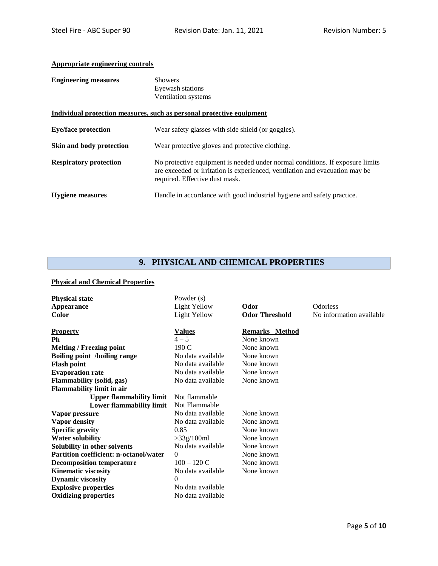### **Appropriate engineering controls**

| <b>Engineering measures</b>   | <b>Showers</b><br>Eyewash stations<br>Ventilation systems                                                                                                                                       |
|-------------------------------|-------------------------------------------------------------------------------------------------------------------------------------------------------------------------------------------------|
|                               | Individual protection measures, such as personal protective equipment                                                                                                                           |
| <b>Eye/face protection</b>    | Wear safety glasses with side shield (or goggles).                                                                                                                                              |
| Skin and body protection      | Wear protective gloves and protective clothing.                                                                                                                                                 |
| <b>Respiratory protection</b> | No protective equipment is needed under normal conditions. If exposure limits<br>are exceeded or irritation is experienced, ventilation and evacuation may be<br>required. Effective dust mask. |
| <b>Hygiene</b> measures       | Handle in accordance with good industrial hygiene and safety practice.                                                                                                                          |

### **9. PHYSICAL AND CHEMICAL PROPERTIES**

### **Physical and Chemical Properties**

| <b>Physical state</b>                         | Powder $(s)$        |                       |                          |
|-----------------------------------------------|---------------------|-----------------------|--------------------------|
| <b>Appearance</b>                             | <b>Light Yellow</b> | Odor                  | <b>Odorless</b>          |
| <b>Color</b>                                  | Light Yellow        | <b>Odor Threshold</b> | No information available |
| <b>Property</b>                               | <u>Values</u>       | <b>Remarks Method</b> |                          |
| Ph                                            | $4 - 5$             | None known            |                          |
| <b>Melting / Freezing point</b>               | 190 C               | None known            |                          |
| <b>Boiling point /boiling range</b>           | No data available   | None known            |                          |
| <b>Flash point</b>                            | No data available   | None known            |                          |
| <b>Evaporation rate</b>                       | No data available   | None known            |                          |
| <b>Flammability (solid, gas)</b>              | No data available   | None known            |                          |
| <b>Flammability limit in air</b>              |                     |                       |                          |
| <b>Upper flammability limit</b>               | Not flammable       |                       |                          |
| <b>Lower flammability limit</b>               | Not Flammable       |                       |                          |
| Vapor pressure                                | No data available   | None known            |                          |
| <b>Vapor density</b>                          | No data available   | None known            |                          |
| <b>Specific gravity</b>                       | 0.85                | None known            |                          |
| <b>Water solubility</b>                       | >33g/100ml          | None known            |                          |
| Solubility in other solvents                  | No data available   | None known            |                          |
| <b>Partition coefficient: n-octanol/water</b> | $\Omega$            | None known            |                          |
| <b>Decomposition temperature</b>              | $100 - 120 C$       | None known            |                          |
| <b>Kinematic viscosity</b>                    | No data available   | None known            |                          |
| <b>Dynamic viscosity</b>                      | $\theta$            |                       |                          |
| <b>Explosive properties</b>                   | No data available   |                       |                          |
| <b>Oxidizing properties</b>                   | No data available   |                       |                          |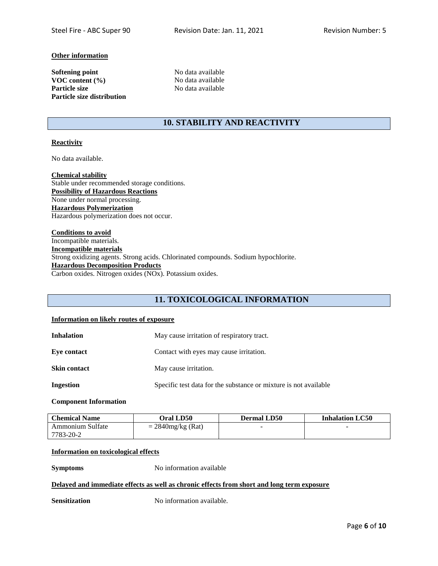### **Other information**

**Softening point** No data available **VOC content (%)** No data available **Particle size** No data available **Particle size distribution**

### **10. STABILITY AND REACTIVITY**

### **Reactivity**

No data available.

**Chemical stability** Stable under recommended storage conditions. **Possibility of Hazardous Reactions** None under normal processing. **Hazardous Polymerization** Hazardous polymerization does not occur.

**Conditions to avoid** Incompatible materials. **Incompatible materials** Strong oxidizing agents. Strong acids. Chlorinated compounds. Sodium hypochlorite. **Hazardous Decomposition Products** Carbon oxides. Nitrogen oxides (NOx). Potassium oxides.

### **11. TOXICOLOGICAL INFORMATION**

### **Information on likely routes of exposure**

| <b>Inhalation</b>   | May cause irritation of respiratory tract.                       |
|---------------------|------------------------------------------------------------------|
| <b>Eye contact</b>  | Contact with eyes may cause irritation.                          |
| <b>Skin contact</b> | May cause irritation.                                            |
| Ingestion           | Specific test data for the substance or mixture is not available |

### **Component Information**

| <b>Chemical Name</b> | Oral LD50            | <b>Dermal LD50</b>       | <b>Inhalation LC50</b> |
|----------------------|----------------------|--------------------------|------------------------|
| Ammonium Sulfate     | $= 2840$ mg/kg (Rat) | $\overline{\phantom{a}}$ |                        |
| 7783-20-2            |                      |                          |                        |

#### **Information on toxicological effects**

**Symptoms** No information available

### **Delayed and immediate effects as well as chronic effects from short and long term exposure**

**Sensitization** No information available.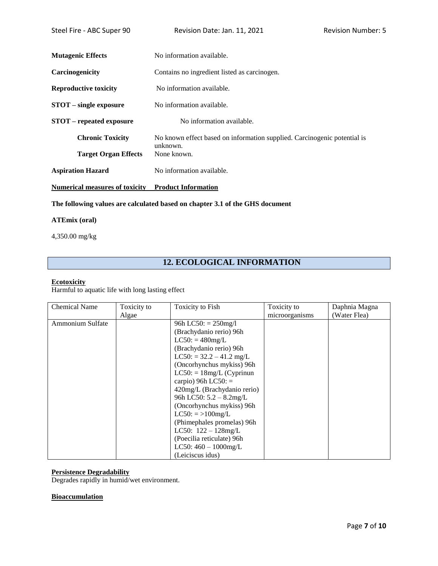| <b>Mutagenic Effects</b>       | No information available.                                                            |  |  |
|--------------------------------|--------------------------------------------------------------------------------------|--|--|
| Carcinogenicity                | Contains no ingredient listed as carcinogen.                                         |  |  |
| <b>Reproductive toxicity</b>   | No information available.                                                            |  |  |
| <b>STOT</b> – single exposure  | No information available.                                                            |  |  |
| STOT – repeated exposure       | No information available.                                                            |  |  |
| <b>Chronic Toxicity</b>        | No known effect based on information supplied. Carcinogenic potential is<br>unknown. |  |  |
| <b>Target Organ Effects</b>    | None known.                                                                          |  |  |
| <b>Aspiration Hazard</b>       | No information available.                                                            |  |  |
| Numerical measures of toxicity | <b>Product Information</b>                                                           |  |  |
|                                | The following values are calculated based on chapter 3.1 of the GHS document         |  |  |

### **ATEmix (oral)**

4,350.00 mg/kg

## **12. ECOLOGICAL INFORMATION**

### **Ecotoxicity**

Harmful to aquatic life with long lasting effect

| <b>Chemical Name</b> | Toxicity to | <b>Toxicity to Fish</b>     | Toxicity to    | Daphnia Magna |
|----------------------|-------------|-----------------------------|----------------|---------------|
|                      | Algae       |                             | microorganisms | (Water Flea)  |
| Ammonium Sulfate     |             | 96h LC50: $= 250$ mg/l      |                |               |
|                      |             | (Brachydanio rerio) 96h     |                |               |
|                      |             | $LC50$ : = 480mg/L          |                |               |
|                      |             | (Brachydanio rerio) 96h     |                |               |
|                      |             | $LC50$ : = 32.2 – 41.2 mg/L |                |               |
|                      |             | (Oncorhynchus mykiss) 96h   |                |               |
|                      |             | $LC50$ : = 18mg/L (Cyprinun |                |               |
|                      |             | carpio) 96h LC50: $=$       |                |               |
|                      |             | 420mg/L (Brachydanio rerio) |                |               |
|                      |             | 96h LC50: 5.2 - 8.2mg/L     |                |               |
|                      |             | (Oncorhynchus mykiss) 96h   |                |               |
|                      |             | $LC50: \frac{100}{m}$       |                |               |
|                      |             | (Phimephales promelas) 96h  |                |               |
|                      |             | LC50: $122 - 128$ mg/L      |                |               |
|                      |             | (Poecilia reticulate) 96h   |                |               |
|                      |             | LC50: $460 - 1000$ mg/L     |                |               |
|                      |             | (Leiciscus idus)            |                |               |

### **Persistence Degradability**

Degrades rapidly in humid/wet environment.

### **Bioaccumulation**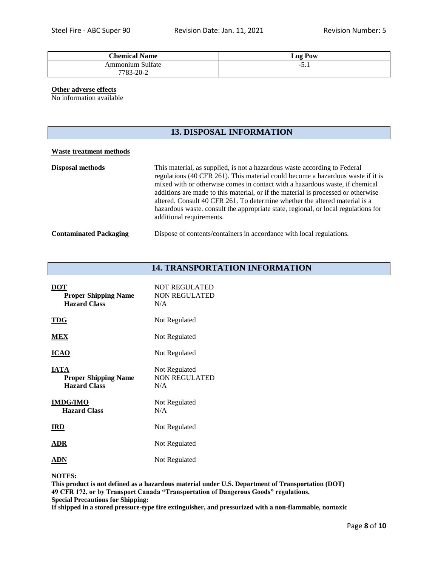| <b>Chemical Name</b> | <b>Log Pow</b>   |
|----------------------|------------------|
| Ammonium Sulfate     | -<br>- 1<br>-J.I |
| 7783-20-2            |                  |

**Other adverse effects**

No information available

### **13. DISPOSAL INFORMATION**

### **Waste treatment methods**

| Disposal methods              | This material, as supplied, is not a hazardous waste according to Federal<br>regulations (40 CFR 261). This material could become a hazardous waste if it is<br>mixed with or otherwise comes in contact with a hazardous waste, if chemical<br>additions are made to this material, or if the material is processed or otherwise<br>altered. Consult 40 CFR 261. To determine whether the altered material is a<br>hazardous waste, consult the appropriate state, regional, or local regulations for<br>additional requirements. |
|-------------------------------|------------------------------------------------------------------------------------------------------------------------------------------------------------------------------------------------------------------------------------------------------------------------------------------------------------------------------------------------------------------------------------------------------------------------------------------------------------------------------------------------------------------------------------|
| <b>Contaminated Packaging</b> | Dispose of contents/containers in accordance with local regulations.                                                                                                                                                                                                                                                                                                                                                                                                                                                               |

### **14. TRANSPORTATION INFORMATION**

| <b>DOT</b><br><b>Proper Shipping Name</b><br><b>Hazard Class</b>  | <b>NOT REGULATED</b><br><b>NON REGULATED</b><br>N/A |
|-------------------------------------------------------------------|-----------------------------------------------------|
| <b>TDG</b>                                                        | Not Regulated                                       |
| <b>MEX</b>                                                        | Not Regulated                                       |
| <b>ICAO</b>                                                       | Not Regulated                                       |
| <b>IATA</b><br><b>Proper Shipping Name</b><br><b>Hazard Class</b> | Not Regulated<br><b>NON REGULATED</b><br>N/A        |
| <b>IMDG/IMO</b><br><b>Hazard Class</b>                            | Not Regulated<br>N/A                                |
| <b>IRD</b>                                                        | Not Regulated                                       |
| ADR                                                               | Not Regulated                                       |
| ADN                                                               | Not Regulated                                       |

**NOTES:**

**This product is not defined as a hazardous material under U.S. Department of Transportation (DOT) 49 CFR 172, or by Transport Canada "Transportation of Dangerous Goods" regulations. Special Precautions for Shipping:**

**If shipped in a stored pressure-type fire extinguisher, and pressurized with a non-flammable, nontoxic**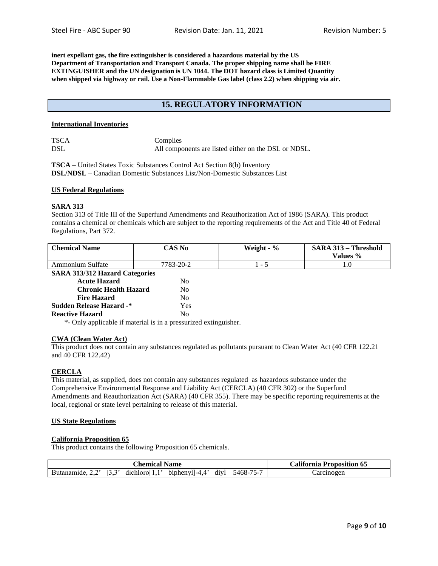**inert expellant gas, the fire extinguisher is considered a hazardous material by the US Department of Transportation and Transport Canada. The proper shipping name shall be FIRE EXTINGUISHER and the UN designation is UN 1044. The DOT hazard class is Limited Quantity when shipped via highway or rail. Use a Non-Flammable Gas label (class 2.2) when shipping via air.**

### **15. REGULATORY INFORMATION**

#### **International Inventories**

TSCA Complies DSL All components are listed either on the DSL or NDSL.

**TSCA** – United States Toxic Substances Control Act Section 8(b) Inventory **DSL/NDSL** – Canadian Domestic Substances List/Non-Domestic Substances List

#### **US Federal Regulations**

### **SARA 313**

Section 313 of Title III of the Superfund Amendments and Reauthorization Act of 1986 (SARA). This product contains a chemical or chemicals which are subject to the reporting requirements of the Act and Title 40 of Federal Regulations, Part 372.

| <b>Chemical Name</b> | <b>CAS No</b> | Weight -<br>$\frac{6}{10}$ | SARA 313 - Threshold<br><b>Values %</b> |
|----------------------|---------------|----------------------------|-----------------------------------------|
| Ammonium Sulfate     | 7783-20-2     | $\sim$                     | IJ.                                     |

**SARA 313/312 Hazard Categories**

| <b>Acute Hazard</b>             | No                     |
|---------------------------------|------------------------|
| <b>Chronic Health Hazard</b>    | Nο                     |
| <b>Fire Hazard</b>              | $\mathbf{N}\mathbf{O}$ |
| <b>Sudden Release Hazard -*</b> | Yes                    |
| <b>Reactive Hazard</b>          | Nο                     |
|                                 |                        |

\*- Only applicable if material is in a pressurized extinguisher.

#### **CWA (Clean Water Act)**

This product does not contain any substances regulated as pollutants pursuant to Clean Water Act (40 CFR 122.21 and 40 CFR 122.42)

#### **CERCLA**

This material, as supplied, does not contain any substances regulated as hazardous substance under the Comprehensive Environmental Response and Liability Act (CERCLA) (40 CFR 302) or the Superfund Amendments and Reauthorization Act (SARA) (40 CFR 355). There may be specific reporting requirements at the local, regional or state level pertaining to release of this material.

### **US State Regulations**

#### **California Proposition 65**

This product contains the following Proposition 65 chemicals.

| :hemical                                                                                         | California.    |  |
|--------------------------------------------------------------------------------------------------|----------------|--|
| <b>Name</b>                                                                                      | Proposition 65 |  |
| -5468-<br>$\therefore$ -biphenyl-4"<br>$-$ divl<br>-dichiorol<br>ide<br>tanar<br>_<br>$J^-$<br>- | arcinogen      |  |